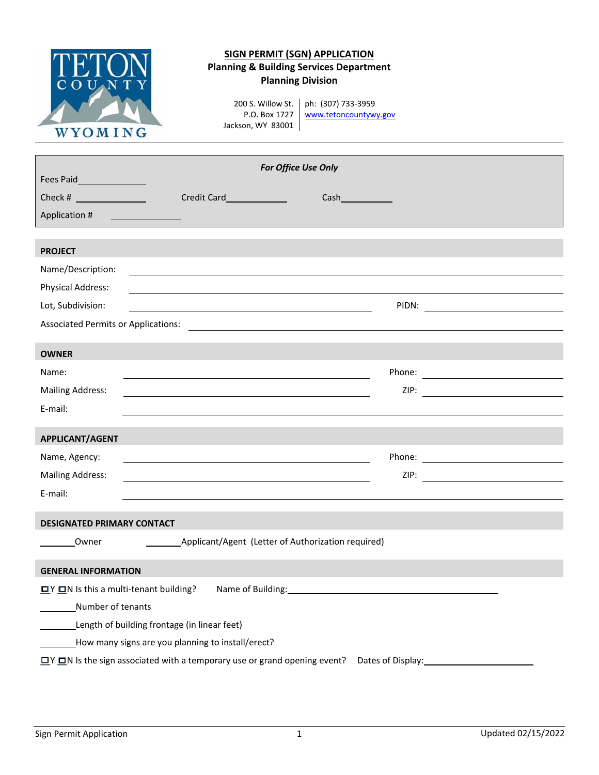

## **SIGN PERMIT (SGN) APPLICATION Planning & Building Services Department Planning Division**

P.O. Box 1727 Jackson, WY 83001

200 S. Willow St. ph: (307) 733‐3959 www.tetoncountywy.gov

| For Office Use Only                                                                                                                                                                                                                                                                                             |  |  |  |
|-----------------------------------------------------------------------------------------------------------------------------------------------------------------------------------------------------------------------------------------------------------------------------------------------------------------|--|--|--|
| Fees Paid__________________                                                                                                                                                                                                                                                                                     |  |  |  |
| Credit Card<br>$Cash$ and $\qquad$ and $\qquad$ and $\qquad$ and $\qquad$ and $\qquad$ and $\qquad$ and $\qquad$ and $\qquad$ and $\qquad$ and $\qquad$ and $\qquad$ and $\qquad$ and $\qquad$ and $\qquad$ and $\qquad$ and $\qquad$ and $\qquad$ and $\qquad$ and $\qquad$ and $\qquad$ and $\qquad$ and $\q$ |  |  |  |
| Application #                                                                                                                                                                                                                                                                                                   |  |  |  |
|                                                                                                                                                                                                                                                                                                                 |  |  |  |
| <b>PROJECT</b>                                                                                                                                                                                                                                                                                                  |  |  |  |
| Name/Description:                                                                                                                                                                                                                                                                                               |  |  |  |
| <b>Physical Address:</b>                                                                                                                                                                                                                                                                                        |  |  |  |
| Lot, Subdivision:                                                                                                                                                                                                                                                                                               |  |  |  |
|                                                                                                                                                                                                                                                                                                                 |  |  |  |
| <b>OWNER</b>                                                                                                                                                                                                                                                                                                    |  |  |  |
| Name:                                                                                                                                                                                                                                                                                                           |  |  |  |
| <b>Mailing Address:</b>                                                                                                                                                                                                                                                                                         |  |  |  |
| E-mail:                                                                                                                                                                                                                                                                                                         |  |  |  |
|                                                                                                                                                                                                                                                                                                                 |  |  |  |
| APPLICANT/AGENT                                                                                                                                                                                                                                                                                                 |  |  |  |
| Name, Agency:                                                                                                                                                                                                                                                                                                   |  |  |  |
| <b>Mailing Address:</b>                                                                                                                                                                                                                                                                                         |  |  |  |
| E-mail:                                                                                                                                                                                                                                                                                                         |  |  |  |
| <b>DESIGNATED PRIMARY CONTACT</b>                                                                                                                                                                                                                                                                               |  |  |  |
|                                                                                                                                                                                                                                                                                                                 |  |  |  |
| Owner                                                                                                                                                                                                                                                                                                           |  |  |  |
| <b>GENERAL INFORMATION</b>                                                                                                                                                                                                                                                                                      |  |  |  |
| <b>ロ</b> Y <b>ロ</b> N Is this a multi-tenant building? Name of Building: <u>Name of Building</u> 2014                                                                                                                                                                                                           |  |  |  |
| Number of tenants                                                                                                                                                                                                                                                                                               |  |  |  |
| Length of building frontage (in linear feet)                                                                                                                                                                                                                                                                    |  |  |  |
| How many signs are you planning to install/erect?                                                                                                                                                                                                                                                               |  |  |  |
| $\Box$ Y $\Box$ N Is the sign associated with a temporary use or grand opening event?<br>Dates of Display:<br><u>Dates</u> of Display:                                                                                                                                                                          |  |  |  |